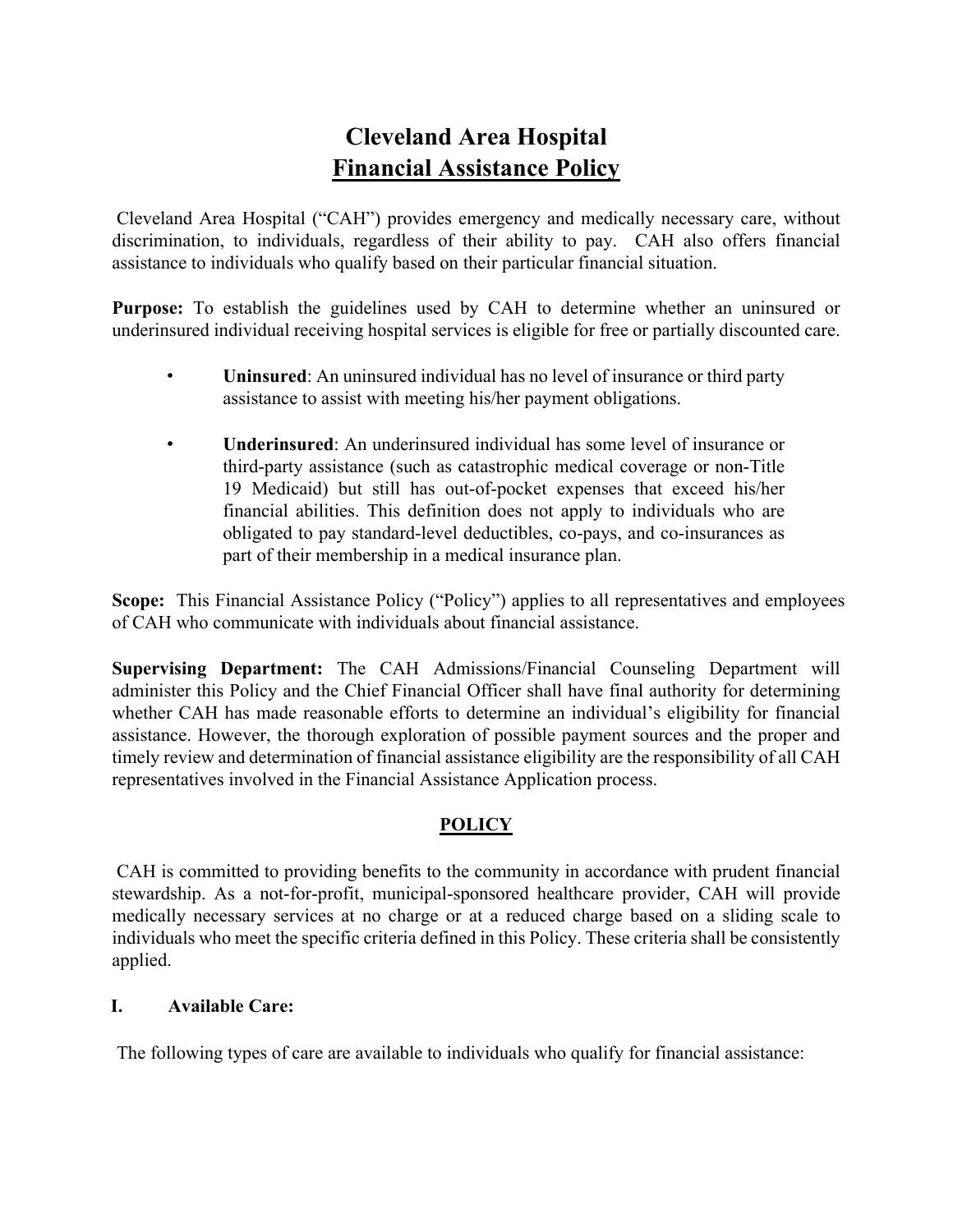# **Cleveland Area Hospital Financial Assistance Policy**

Cleveland Area Hospital ("CAH") provides emergency and medically necessary care, without discrimination, to individuals, regardless of their ability to pay. CAH also offers financial assistance to individuals who qualify based on their particular financial situation.

**Purpose:** To establish the guidelines used by CAH to determine whether an uninsured or underinsured individual receiving hospital services is eligible for free or partially discounted care.

- **Uninsured**: An uninsured individual has no level of insurance or third party assistance to assist with meeting his/her payment obligations.
- **Underinsured**: An underinsured individual has some level of insurance or third-party assistance (such as catastrophic medical coverage or non-Title 19 Medicaid) but still has out-of-pocket expenses that exceed his/her financial abilities. This definition does not apply to individuals who are obligated to pay standard-level deductibles, co-pays, and co-insurances as part of their membership in a medical insurance plan.

**Scope:** This Financial Assistance Policy ("Policy") applies to all representatives and employees of CAH who communicate with individuals about financial assistance.

**Supervising Department:** The CAH Admissions/Financial Counseling Department will administer this Policy and the Chief Financial Officer shall have final authority for determining whether CAH has made reasonable efforts to determine an individual's eligibility for financial assistance. However, the thorough exploration of possible payment sources and the proper and timely review and determination of financial assistance eligibility are the responsibility of all CAH representatives involved in the Financial Assistance Application process.

## **POLICY**

CAH is committed to providing benefits to the community in accordance with prudent financial stewardship. As a not-for-profit, municipal-sponsored healthcare provider, CAH will provide medically necessary services at no charge or at a reduced charge based on a sliding scale to individuals who meet the specific criteria defined in this Policy. These criteria shall be consistently applied.

### **I. Available Care:**

The following types of care are available to individuals who qualify for financial assistance: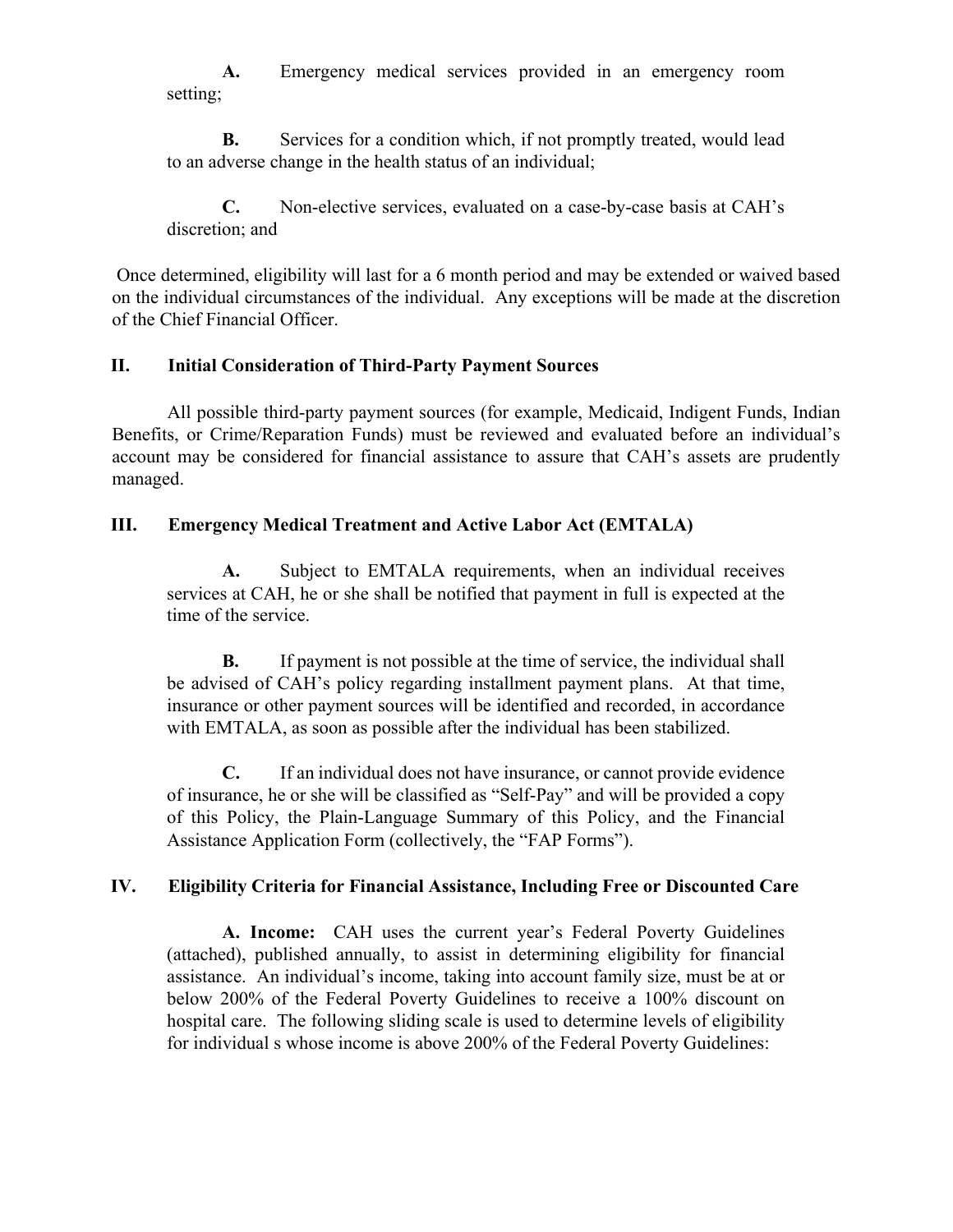**A.** Emergency medical services provided in an emergency room setting;

**B.** Services for a condition which, if not promptly treated, would lead to an adverse change in the health status of an individual;

**C.** Non-elective services, evaluated on a case-by-case basis at CAH's discretion; and

Once determined, eligibility will last for a 6 month period and may be extended or waived based on the individual circumstances of the individual. Any exceptions will be made at the discretion of the Chief Financial Officer.

### **II. Initial Consideration of Third-Party Payment Sources**

All possible third-party payment sources (for example, Medicaid, Indigent Funds, Indian Benefits, or Crime/Reparation Funds) must be reviewed and evaluated before an individual's account may be considered for financial assistance to assure that CAH's assets are prudently managed.

### **III. Emergency Medical Treatment and Active Labor Act (EMTALA)**

**A.** Subject to EMTALA requirements, when an individual receives services at CAH, he or she shall be notified that payment in full is expected at the time of the service.

**B.** If payment is not possible at the time of service, the individual shall be advised of CAH's policy regarding installment payment plans. At that time, insurance or other payment sources will be identified and recorded, in accordance with EMTALA, as soon as possible after the individual has been stabilized.

**C.** If an individual does not have insurance, or cannot provide evidence of insurance, he or she will be classified as "Self-Pay" and will be provided a copy of this Policy, the Plain-Language Summary of this Policy, and the Financial Assistance Application Form (collectively, the "FAP Forms").

### **IV. Eligibility Criteria for Financial Assistance, Including Free or Discounted Care**

**A. Income:** CAH uses the current year's Federal Poverty Guidelines (attached), published annually, to assist in determining eligibility for financial assistance. An individual's income, taking into account family size, must be at or below 200% of the Federal Poverty Guidelines to receive a 100% discount on hospital care. The following sliding scale is used to determine levels of eligibility for individual s whose income is above 200% of the Federal Poverty Guidelines: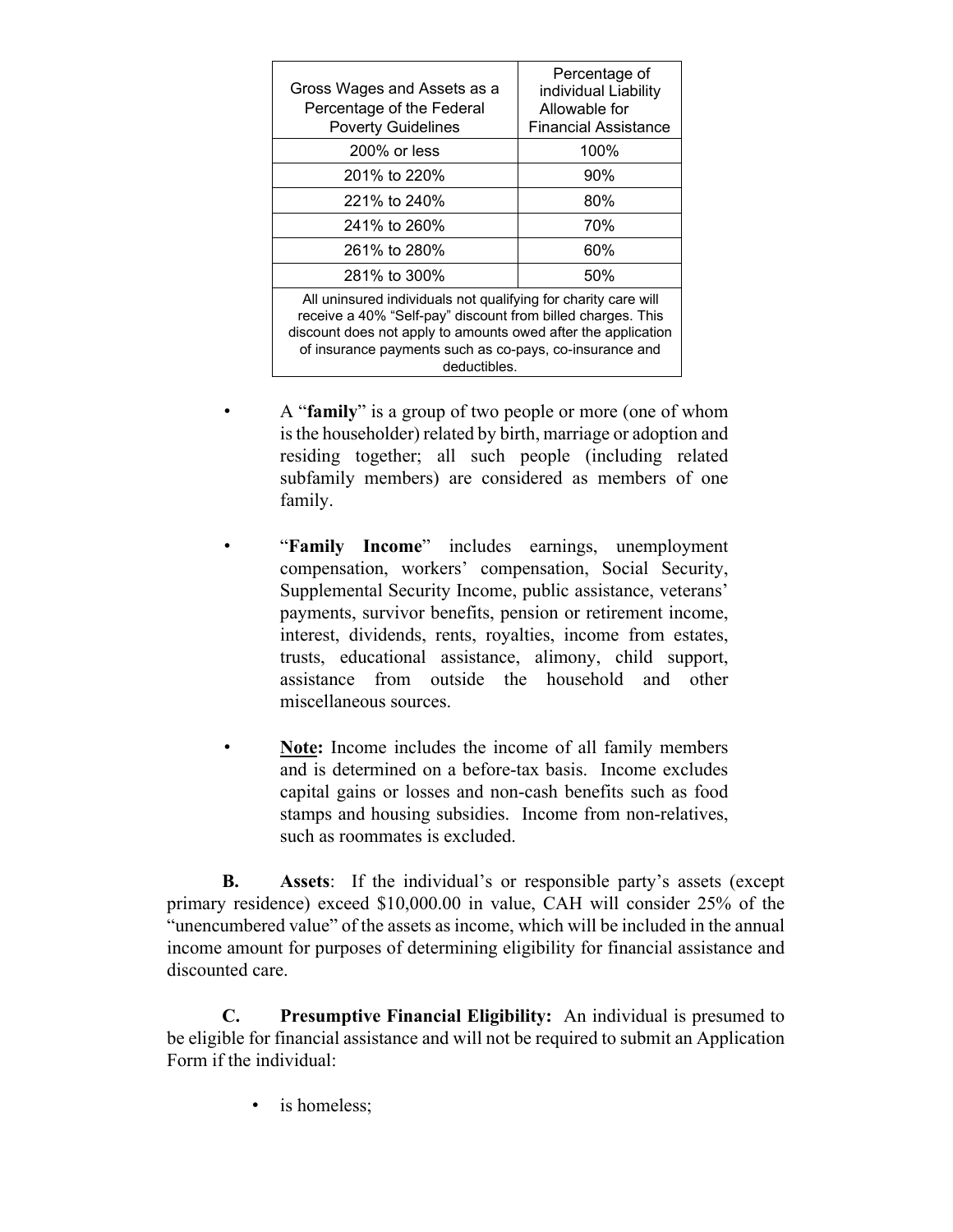| Gross Wages and Assets as a<br>Percentage of the Federal<br><b>Poverty Guidelines</b>                                                                                                                                                                                     | Percentage of<br>individual Liability<br>Allowable for<br><b>Financial Assistance</b> |  |  |
|---------------------------------------------------------------------------------------------------------------------------------------------------------------------------------------------------------------------------------------------------------------------------|---------------------------------------------------------------------------------------|--|--|
| $200\%$ or less                                                                                                                                                                                                                                                           | 100%                                                                                  |  |  |
| 201% to 220%                                                                                                                                                                                                                                                              | 90%                                                                                   |  |  |
| 221% to 240%                                                                                                                                                                                                                                                              | 80%                                                                                   |  |  |
| 241% to 260%                                                                                                                                                                                                                                                              | 70%                                                                                   |  |  |
| 261% to 280%                                                                                                                                                                                                                                                              | 60%                                                                                   |  |  |
| 281% to 300%                                                                                                                                                                                                                                                              | 50%                                                                                   |  |  |
| All uninsured individuals not qualifying for charity care will<br>receive a 40% "Self-pay" discount from billed charges. This<br>discount does not apply to amounts owed after the application<br>of insurance payments such as co-pays, co-insurance and<br>deductibles. |                                                                                       |  |  |

- A "**family**" is a group of two people or more (one of whom is the householder) related by birth, marriage or adoption and residing together; all such people (including related subfamily members) are considered as members of one family.
- "**Family Income**" includes earnings, unemployment compensation, workers' compensation, Social Security, Supplemental Security Income, public assistance, veterans' payments, survivor benefits, pension or retirement income, interest, dividends, rents, royalties, income from estates, trusts, educational assistance, alimony, child support, assistance from outside the household and other miscellaneous sources.
	- Note: Income includes the income of all family members and is determined on a before-tax basis. Income excludes capital gains or losses and non-cash benefits such as food stamps and housing subsidies. Income from non-relatives, such as roommates is excluded.

**B. Assets**: If the individual's or responsible party's assets (except primary residence) exceed \$10,000.00 in value, CAH will consider 25% of the "unencumbered value" of the assets as income, which will be included in the annual income amount for purposes of determining eligibility for financial assistance and discounted care.

**C. Presumptive Financial Eligibility:** An individual is presumed to be eligible for financial assistance and will not be required to submit an Application Form if the individual:

is homeless: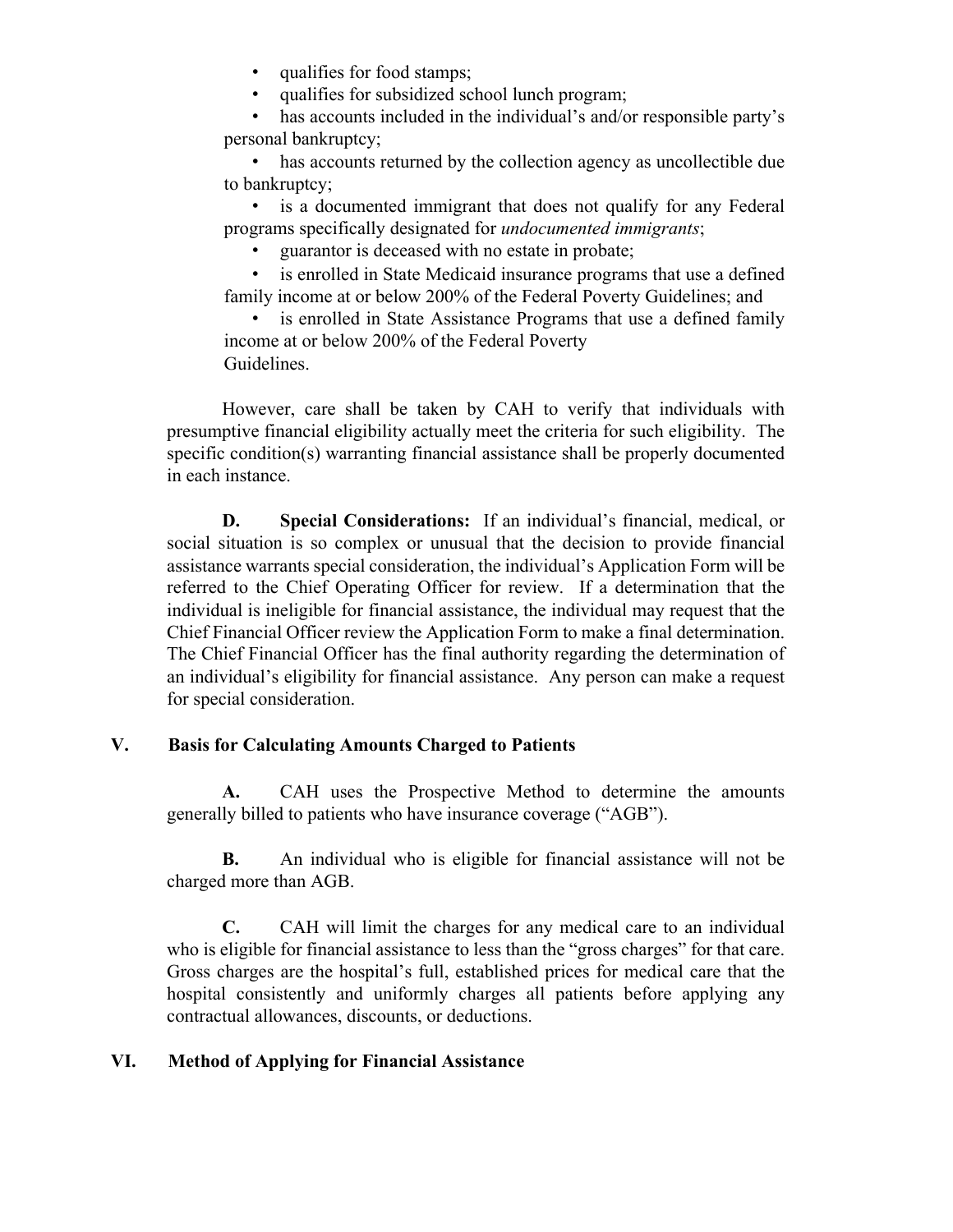- qualifies for food stamps;
- qualifies for subsidized school lunch program;

has accounts included in the individual's and/or responsible party's personal bankruptcy;

has accounts returned by the collection agency as uncollectible due to bankruptcy;

• is a documented immigrant that does not qualify for any Federal programs specifically designated for *undocumented immigrants*;

• guarantor is deceased with no estate in probate;

• is enrolled in State Medicaid insurance programs that use a defined family income at or below 200% of the Federal Poverty Guidelines; and

is enrolled in State Assistance Programs that use a defined family income at or below 200% of the Federal Poverty Guidelines.

However, care shall be taken by CAH to verify that individuals with presumptive financial eligibility actually meet the criteria for such eligibility. The specific condition(s) warranting financial assistance shall be properly documented in each instance.

**D. Special Considerations:** If an individual's financial, medical, or social situation is so complex or unusual that the decision to provide financial assistance warrants special consideration, the individual's Application Form will be referred to the Chief Operating Officer for review. If a determination that the individual is ineligible for financial assistance, the individual may request that the Chief Financial Officer review the Application Form to make a final determination. The Chief Financial Officer has the final authority regarding the determination of an individual's eligibility for financial assistance. Any person can make a request for special consideration.

#### **V. Basis for Calculating Amounts Charged to Patients**

**A.** CAH uses the Prospective Method to determine the amounts generally billed to patients who have insurance coverage ("AGB").

**B.** An individual who is eligible for financial assistance will not be charged more than AGB.

**C.** CAH will limit the charges for any medical care to an individual who is eligible for financial assistance to less than the "gross charges" for that care. Gross charges are the hospital's full, established prices for medical care that the hospital consistently and uniformly charges all patients before applying any contractual allowances, discounts, or deductions.

### **VI. Method of Applying for Financial Assistance**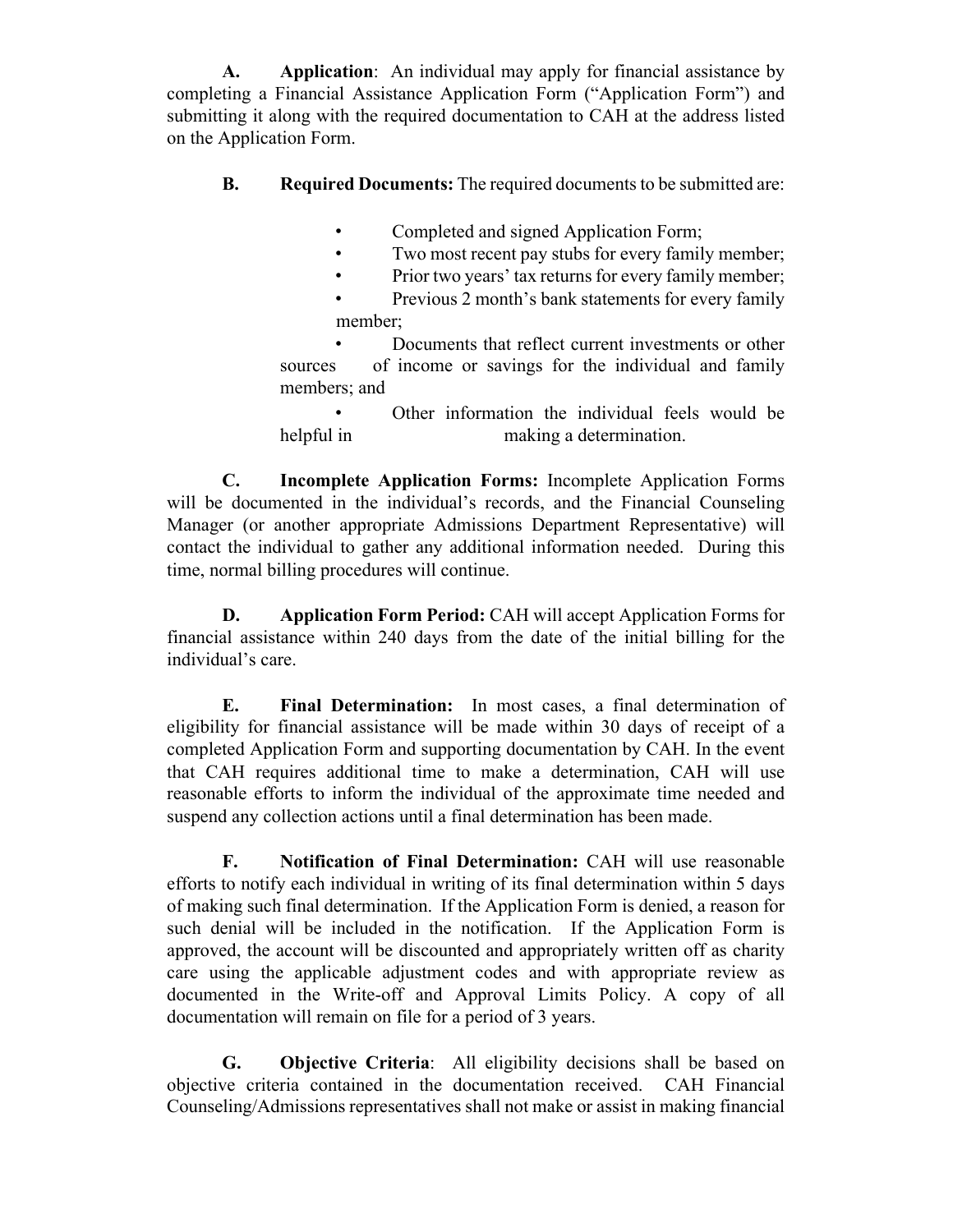**A. Application**: An individual may apply for financial assistance by completing a Financial Assistance Application Form ("Application Form") and submitting it along with the required documentation to CAH at the address listed on the Application Form.

- **B. Required Documents:** The required documents to be submitted are:
	- Completed and signed Application Form;
	- Two most recent pay stubs for every family member;
	- Prior two years' tax returns for every family member;
	- Previous 2 month's bank statements for every family member;

• Documents that reflect current investments or other sources of income or savings for the individual and family members; and

• Other information the individual feels would be helpful in making a determination.

**C. Incomplete Application Forms:** Incomplete Application Forms will be documented in the individual's records, and the Financial Counseling Manager (or another appropriate Admissions Department Representative) will contact the individual to gather any additional information needed. During this time, normal billing procedures will continue.

**D. Application Form Period:** CAH will accept Application Forms for financial assistance within 240 days from the date of the initial billing for the individual's care.

**E. Final Determination:** In most cases, a final determination of eligibility for financial assistance will be made within 30 days of receipt of a completed Application Form and supporting documentation by CAH. In the event that CAH requires additional time to make a determination, CAH will use reasonable efforts to inform the individual of the approximate time needed and suspend any collection actions until a final determination has been made.

**F. Notification of Final Determination:** CAH will use reasonable efforts to notify each individual in writing of its final determination within 5 days of making such final determination. If the Application Form is denied, a reason for such denial will be included in the notification. If the Application Form is approved, the account will be discounted and appropriately written off as charity care using the applicable adjustment codes and with appropriate review as documented in the Write-off and Approval Limits Policy. A copy of all documentation will remain on file for a period of 3 years.

**G. Objective Criteria**: All eligibility decisions shall be based on objective criteria contained in the documentation received. CAH Financial Counseling/Admissions representatives shall not make or assist in making financial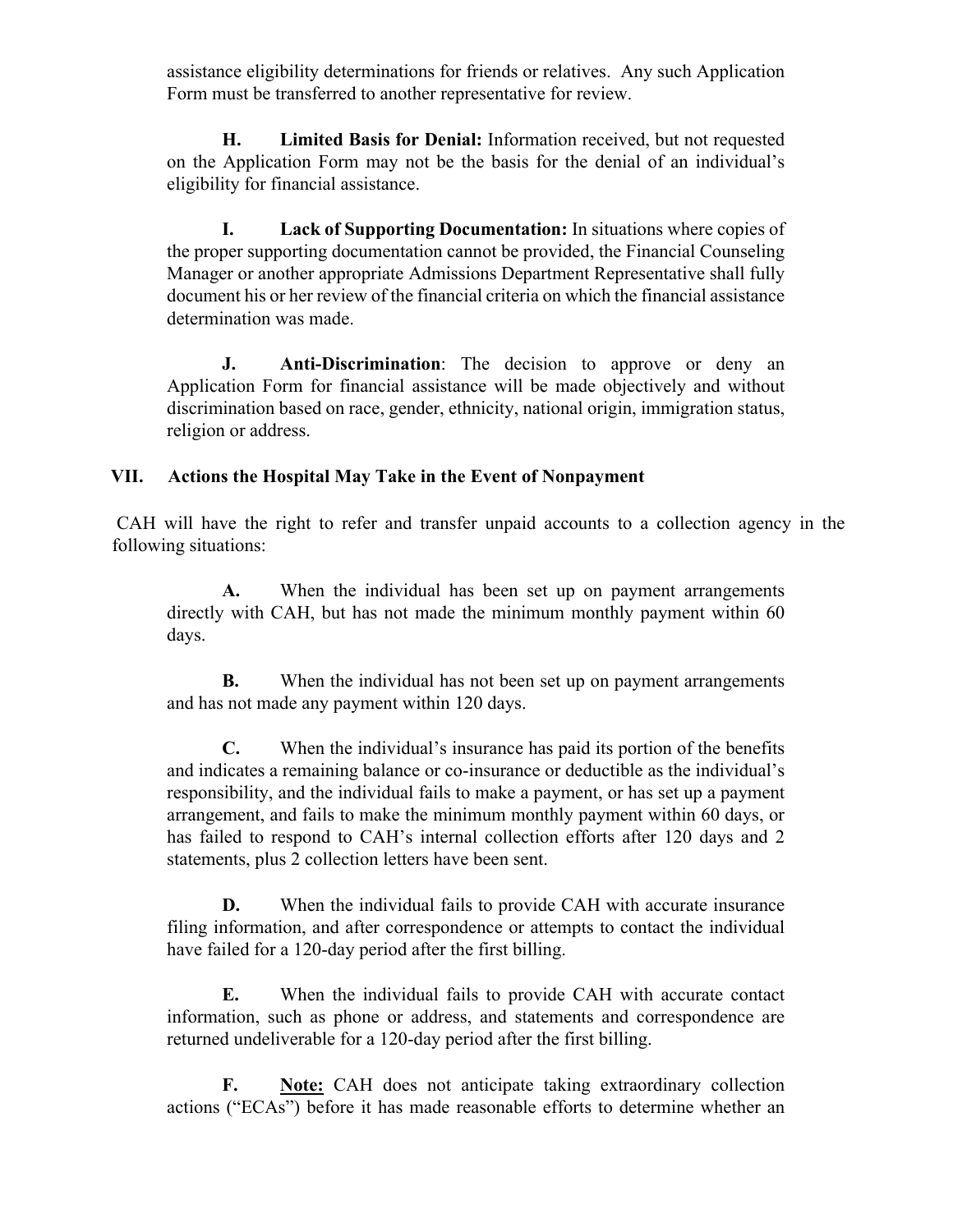assistance eligibility determinations for friends or relatives. Any such Application Form must be transferred to another representative for review.

**H. Limited Basis for Denial:** Information received, but not requested on the Application Form may not be the basis for the denial of an individual's eligibility for financial assistance.

**I. Lack of Supporting Documentation:** In situations where copies of the proper supporting documentation cannot be provided, the Financial Counseling Manager or another appropriate Admissions Department Representative shall fully document his or her review of the financial criteria on which the financial assistance determination was made.

**J. Anti-Discrimination**: The decision to approve or deny an Application Form for financial assistance will be made objectively and without discrimination based on race, gender, ethnicity, national origin, immigration status, religion or address.

### **VII. Actions the Hospital May Take in the Event of Nonpayment**

CAH will have the right to refer and transfer unpaid accounts to a collection agency in the following situations:

**A.** When the individual has been set up on payment arrangements directly with CAH, but has not made the minimum monthly payment within 60 days.

**B.** When the individual has not been set up on payment arrangements and has not made any payment within 120 days.

**C.** When the individual's insurance has paid its portion of the benefits and indicates a remaining balance or co-insurance or deductible as the individual's responsibility, and the individual fails to make a payment, or has set up a payment arrangement, and fails to make the minimum monthly payment within 60 days, or has failed to respond to CAH's internal collection efforts after 120 days and 2 statements, plus 2 collection letters have been sent.

**D.** When the individual fails to provide CAH with accurate insurance filing information, and after correspondence or attempts to contact the individual have failed for a 120-day period after the first billing.

**E.** When the individual fails to provide CAH with accurate contact information, such as phone or address, and statements and correspondence are returned undeliverable for a 120-day period after the first billing.

**F. Note:** CAH does not anticipate taking extraordinary collection actions ("ECAs") before it has made reasonable efforts to determine whether an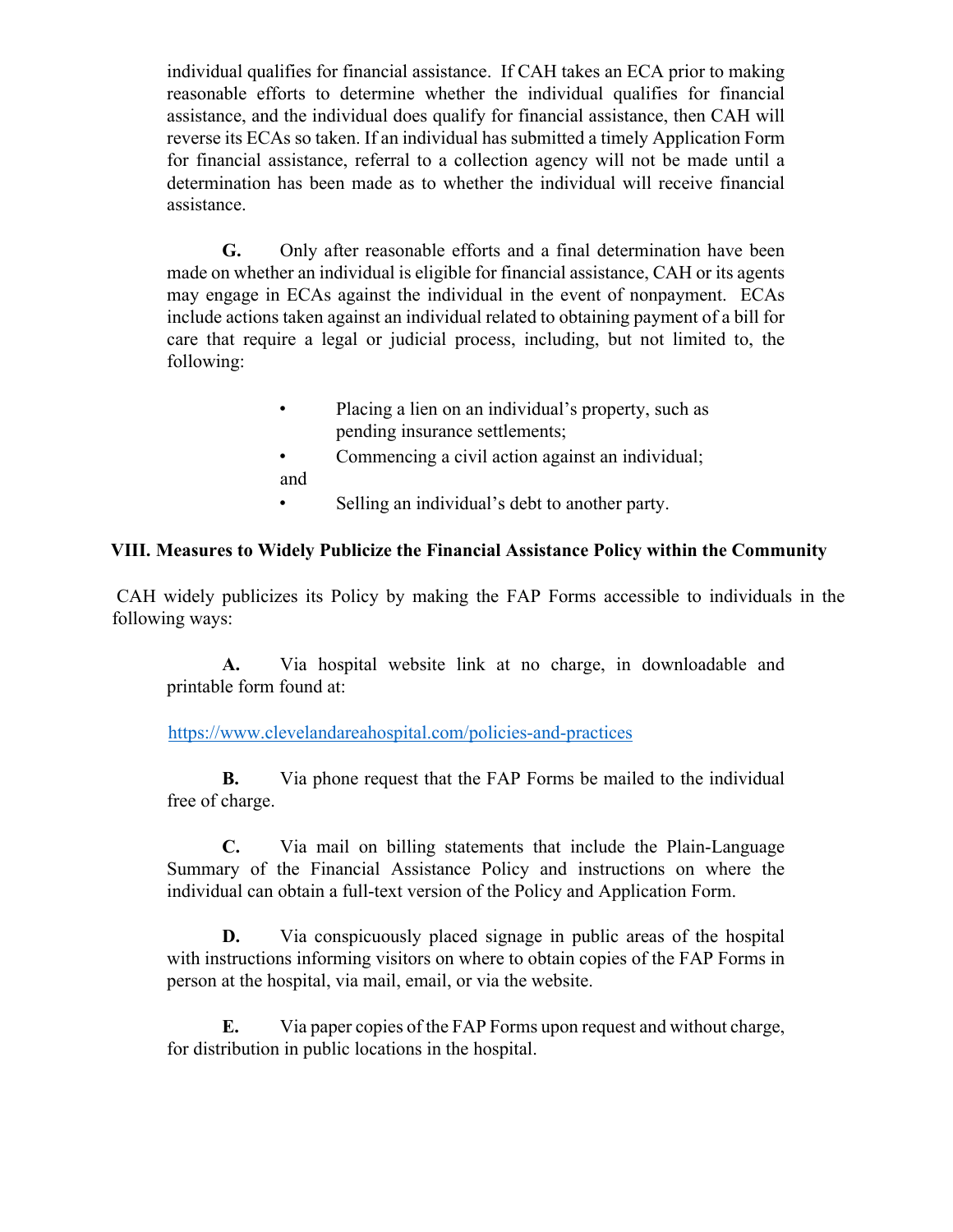individual qualifies for financial assistance. If CAH takes an ECA prior to making reasonable efforts to determine whether the individual qualifies for financial assistance, and the individual does qualify for financial assistance, then CAH will reverse its ECAs so taken. If an individual has submitted a timely Application Form for financial assistance, referral to a collection agency will not be made until a determination has been made as to whether the individual will receive financial assistance.

**G.** Only after reasonable efforts and a final determination have been made on whether an individual is eligible for financial assistance, CAH or its agents may engage in ECAs against the individual in the event of nonpayment. ECAs include actions taken against an individual related to obtaining payment of a bill for care that require a legal or judicial process, including, but not limited to, the following:

> • Placing a lien on an individual's property, such as pending insurance settlements;

• Commencing a civil action against an individual; and

• Selling an individual's debt to another party.

### **VIII. Measures to Widely Publicize the Financial Assistance Policy within the Community**

CAH widely publicizes its Policy by making the FAP Forms accessible to individuals in the following ways:

**A.** Via hospital website link at no charge, in downloadable and printable form found at:

<https://www.clevelandareahospital.com/policies-and-practices>

**B.** Via phone request that the FAP Forms be mailed to the individual free of charge.

**C.** Via mail on billing statements that include the Plain-Language Summary of the Financial Assistance Policy and instructions on where the individual can obtain a full-text version of the Policy and Application Form.

**D.** Via conspicuously placed signage in public areas of the hospital with instructions informing visitors on where to obtain copies of the FAP Forms in person at the hospital, via mail, email, or via the website.

**E.** Via paper copies of the FAP Forms upon request and without charge, for distribution in public locations in the hospital.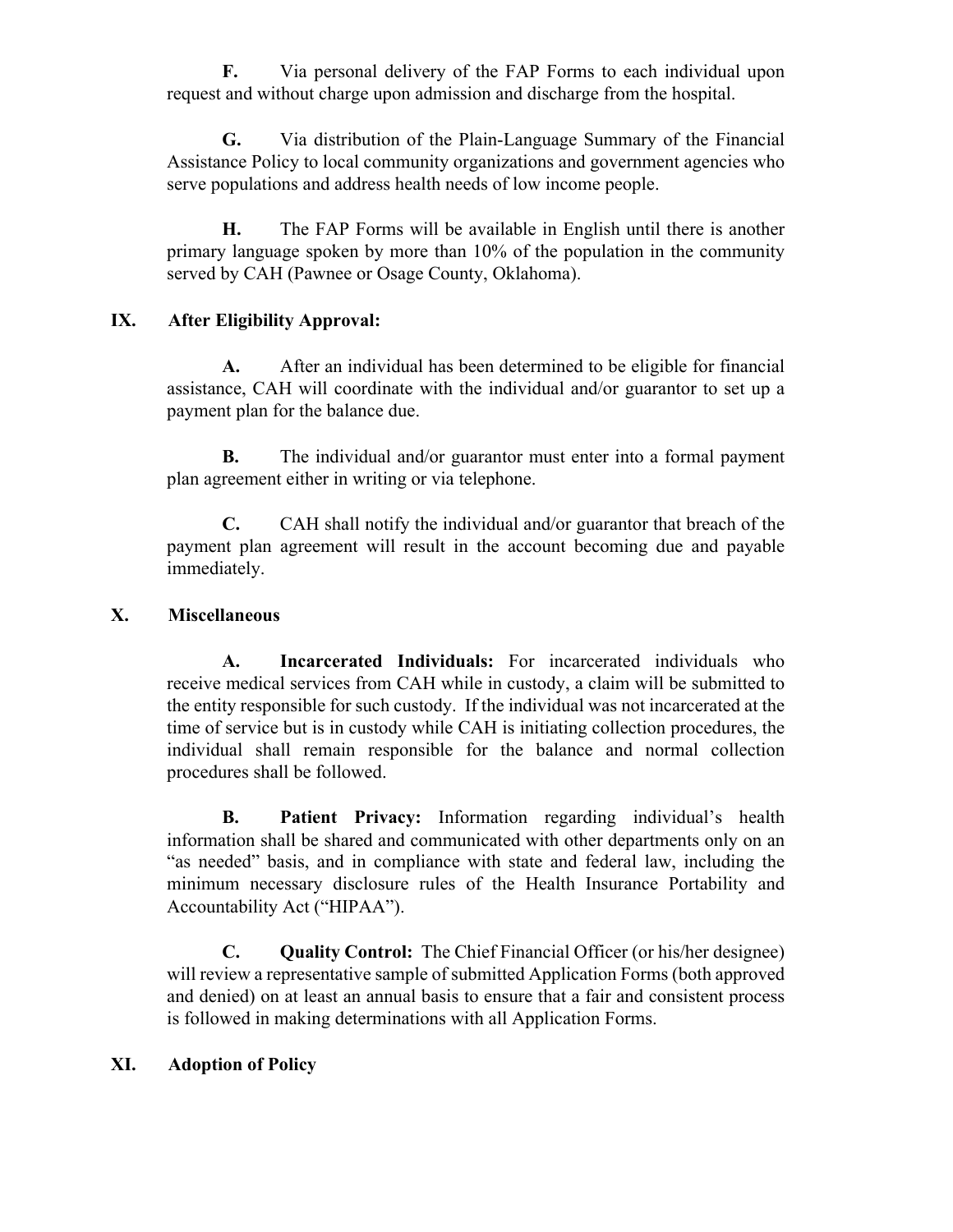**F.** Via personal delivery of the FAP Forms to each individual upon request and without charge upon admission and discharge from the hospital.

**G.** Via distribution of the Plain-Language Summary of the Financial Assistance Policy to local community organizations and government agencies who serve populations and address health needs of low income people.

**H.** The FAP Forms will be available in English until there is another primary language spoken by more than 10% of the population in the community served by CAH (Pawnee or Osage County, Oklahoma).

### **IX. After Eligibility Approval:**

**A.** After an individual has been determined to be eligible for financial assistance, CAH will coordinate with the individual and/or guarantor to set up a payment plan for the balance due.

**B.** The individual and/or guarantor must enter into a formal payment plan agreement either in writing or via telephone.

**C.** CAH shall notify the individual and/or guarantor that breach of the payment plan agreement will result in the account becoming due and payable immediately.

### **X. Miscellaneous**

**A. Incarcerated Individuals:** For incarcerated individuals who receive medical services from CAH while in custody, a claim will be submitted to the entity responsible for such custody. If the individual was not incarcerated at the time of service but is in custody while CAH is initiating collection procedures, the individual shall remain responsible for the balance and normal collection procedures shall be followed.

**B. Patient Privacy:** Information regarding individual's health information shall be shared and communicated with other departments only on an "as needed" basis, and in compliance with state and federal law, including the minimum necessary disclosure rules of the Health Insurance Portability and Accountability Act ("HIPAA").

**C. Quality Control:** The Chief Financial Officer (or his/her designee) will review a representative sample of submitted Application Forms (both approved and denied) on at least an annual basis to ensure that a fair and consistent process is followed in making determinations with all Application Forms.

### **XI. Adoption of Policy**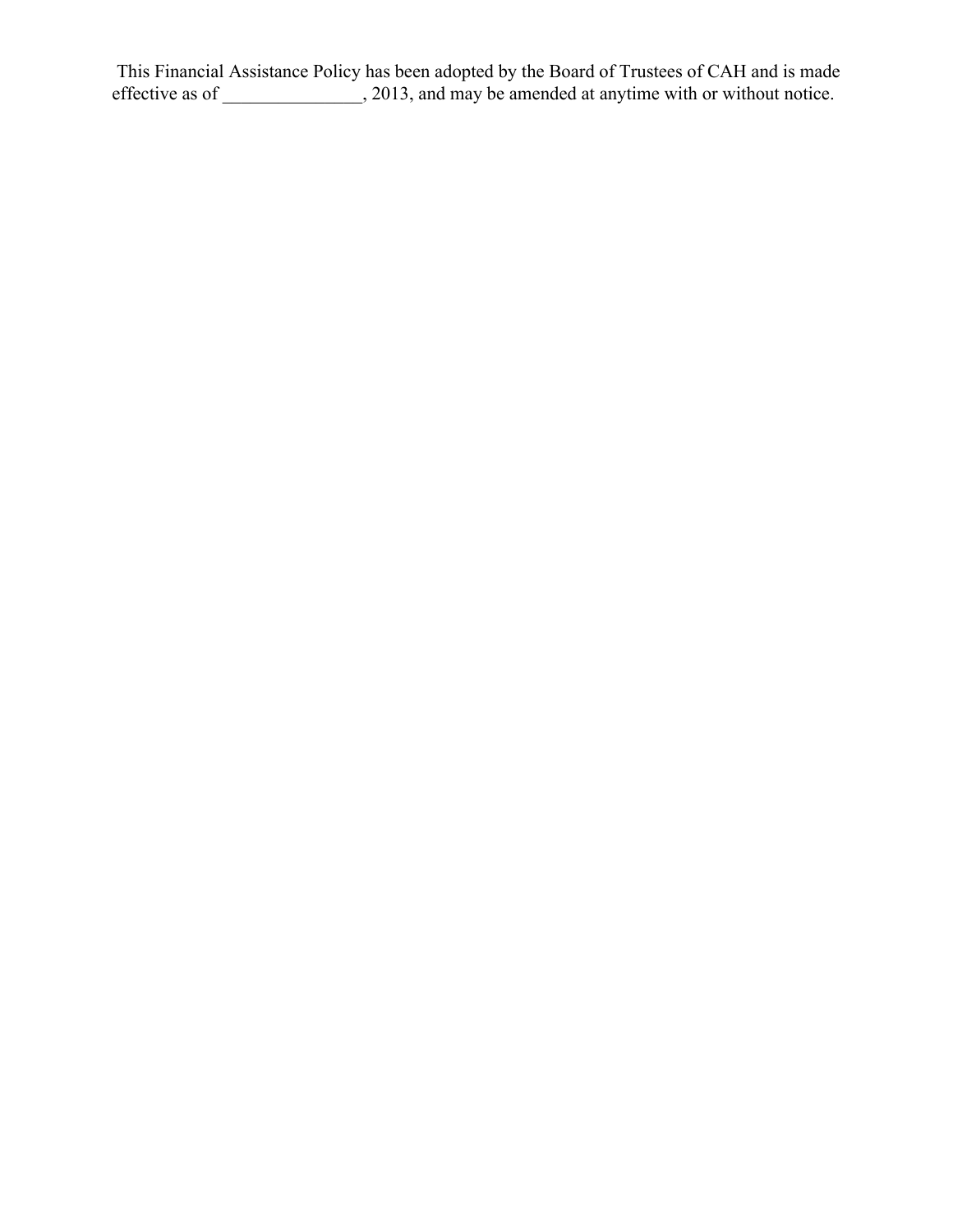This Financial Assistance Policy has been adopted by the Board of Trustees of CAH and is made effective as of \_\_\_\_\_\_\_\_\_\_\_\_\_\_, 2013, and may be amended at anytime with or without notice.